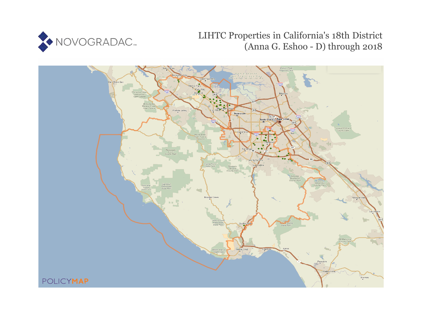

# LIHTC Properties in California's 18th District (Anna G. Eshoo - D) through 2018

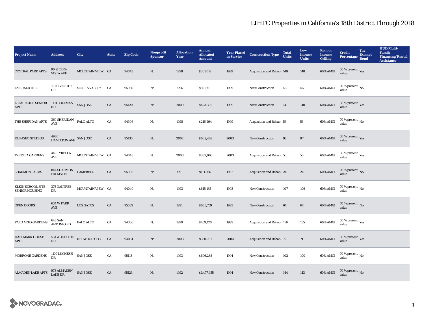| <b>Project Name</b>                               | <b>Address</b>                                  | City                         | <b>State</b> | <b>Zip Code</b> | <b>Nonprofit</b><br><b>Sponsor</b> | <b>Allocation</b><br>Year | <b>Annual</b><br><b>Allocated</b><br><b>Amount</b> | <b>Year Placed<br/>in Service</b> | <b>Construction Type</b>  | <b>Total</b><br><b>Units</b> | Low<br><b>Income</b><br><b>Units</b> | <b>Rent</b> or<br><b>Income</b><br><b>Ceiling</b> | <b>Credit</b><br>Percentage Bond        | Tax-<br><b>Exempt</b> | <b>HUD Multi-</b><br>Family<br><b>Financing/Rental</b><br><b>Assistance</b> |
|---------------------------------------------------|-------------------------------------------------|------------------------------|--------------|-----------------|------------------------------------|---------------------------|----------------------------------------------------|-----------------------------------|---------------------------|------------------------------|--------------------------------------|---------------------------------------------------|-----------------------------------------|-----------------------|-----------------------------------------------------------------------------|
| <b>CENTRAL PARK APTS</b>                          | 90 SIERRA<br><b>VISTA AVE</b>                   | MOUNTAIN VIEW CA             |              | 94043           | No                                 | 1998                      | \$361,012                                          | 1999                              | Acquisition and Rehab 149 |                              | 148                                  | 60% AMGI                                          | $30\,\%$ present $\,$ Yes value         |                       |                                                                             |
| EMERALD HILL                                      | 101 CIVIC CTR<br>DR                             | SCOTTS VALLEY CA             |              | 95066           | No                                 | 1996                      | \$591,711                                          | 1999                              | New Construction          | 46                           | 46                                   | 60% AMGI                                          | $70$ % present $\,$ No $\,$ value $\,$  |                       |                                                                             |
| <b>LE MIRADOR SENIOR</b><br><b>APTS</b>           | 1191 COLEMAN SAN JOSE<br>$\mathbf{R}\mathbf{D}$ |                              | CA           | 95120           | $\mathbf{N}\mathbf{o}$             | 2000                      | \$423,385                                          | 1999                              | <b>New Construction</b>   | 141                          | 140                                  | 60% AMGI                                          | $30\,\%$ present $\,$ Yes value         |                       |                                                                             |
| THE SHERIDAN APTS                                 | $360\,{\rm SHERIDAN}$ PALO ALTO<br><b>AVE</b>   |                              | CA           | 94306           | No                                 | 1998                      | \$216,294                                          | 1999                              | Acquisition and Rehab 56  |                              | 56                                   | 60% AMGI                                          | 70 % present $\,$ No $\,$<br>value      |                       |                                                                             |
| EL PASEO STUDIOS                                  | $4980$ $$\tt HAMILTON\,AVE\,$ $$\tt SAN\,JOSE$$ |                              | ${\rm CA}$   | 95130           | $\mathbf{N}\mathbf{o}$             | 2002                      | \$602,469                                          | 2003                              | New Construction          | 98                           | 97                                   | 60% AMGI                                          | $30\,\%$ present $\,$ Yes value         |                       |                                                                             |
| <b>TYRELLA GARDENS</b>                            | $449\,{\rm TYRELLA}$<br>AVE                     | MOUNTAIN VIEW CA             |              | 94043           | No                                 | 2003                      | \$389,065                                          | 2003                              | Acquisition and Rehab 56  |                              | 55                                   | 60% AMGI                                          | $30\,\%$ present $\,$ Yes value         |                       |                                                                             |
| <b>SHARMON PALMS</b>                              | 844 SHARMON<br>PALMS LN                         | <b>CAMPBELL</b>              | CA           | 95008           | No                                 | 1991                      | \$111,966                                          | 1992                              | Acquisition and Rehab 24  |                              | 24                                   | 60% AMGI                                          | $70\,\%$ present $\,$ No value          |                       |                                                                             |
| <b>KLEIN SCHOOL SITE</b><br><b>SENIOR HOUSING</b> | 375 OAKTREE<br>DR                               | MOUNTAIN VIEW CA             |              | 94040           | No                                 | 1993                      | \$615,135                                          | 1993                              | New Construction          | 107                          | 106                                  | 60% AMGI                                          | $70\,\%$ present $\,$ No value          |                       |                                                                             |
| <b>OPEN DOORS</b>                                 | 634 W PARR<br>$\operatorname{AVE}$              | <b>LOS GATOS</b>             | CA           | 95032           | $\mathbf{No}$                      | 1991                      | \$685,759                                          | 1993                              | <b>New Construction</b>   | 64                           | 64                                   | 60% AMGI                                          | $70\,\%$ present $\,$ No value          |                       |                                                                             |
| PALO ALTO GARDENS                                 | 648 SAN<br><b>ANTONIO RD</b>                    | PALO ALTO                    | CA           | 94306           | No                                 | 1999                      | \$459,120                                          | 1999                              | Acquisition and Rehab 156 |                              | 155                                  | 60% AMGI                                          | $30\,\%$ present $\,\mathrm{Yes}$ value |                       |                                                                             |
| <b>HALLMARK HOUSE</b><br><b>APTS</b>              | RD                                              | 531 WOODSIDE REDWOOD CITY CA |              | 94061           | $\rm No$                           | 2003                      | \$350,781                                          | 2004                              | Acquisition and Rehab 72  |                              | 71                                   | 60% AMGI                                          | $30\,\%$ present $\,$ Yes value         |                       |                                                                             |
| MORRONE GARDENS                                   | 1107 LUCHESSI SAN JOSE<br>DR                    |                              | CA           | 95118           | No                                 | 1993                      | \$696,238                                          | 1994                              | <b>New Construction</b>   | 102                          | 100                                  | 60% AMGI                                          | $70\,\%$ present $\,$ No value          |                       |                                                                             |
| <b>ALMADEN LAKE APTS</b>                          | $978$ ALMADEN $$\sf{SAN \, JOSE}$               |                              | CA           | 95123           | No                                 | 1992                      | \$1,477,455                                        | 1994                              | <b>New Construction</b>   | 144                          | 143                                  | 60% AMGI                                          | $70$ % present $\,$ No value            |                       |                                                                             |

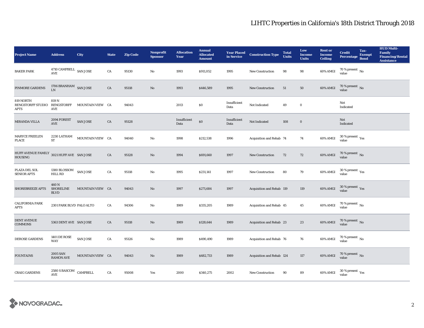| <b>Project Name</b>                                         | <b>Address</b>                           | City             | <b>State</b> | <b>Zip Code</b> | <b>Nonprofit</b><br><b>Sponsor</b> | <b>Allocation</b><br>Year | <b>Annual</b><br><b>Allocated</b><br><b>Amount</b> |                      | <b>Year Placed Construction Type</b><br>in Service <b>Construction</b> Type | <b>Total</b><br><b>Units</b> | Low<br><b>Income</b><br><b>Units</b> | <b>Rent or</b><br><b>Income</b><br><b>Ceiling</b> | <b>Credit</b><br><b>Percentage</b>      | Tax-<br><b>Exempt</b><br><b>Bond</b> | <b>HUD Multi-</b><br>Family<br><b>Financing/Rental</b><br><b>Assistance</b> |
|-------------------------------------------------------------|------------------------------------------|------------------|--------------|-----------------|------------------------------------|---------------------------|----------------------------------------------------|----------------------|-----------------------------------------------------------------------------|------------------------------|--------------------------------------|---------------------------------------------------|-----------------------------------------|--------------------------------------|-----------------------------------------------------------------------------|
| <b>BAKER PARK</b>                                           | $4710$ CAMPBELL $\,$ SAN JOSE<br>AVE     |                  | ${\rm CA}$   | 95130           | $\mathbf{No}$                      | 1993                      | \$911,052                                          | 1995                 | New Construction                                                            | 98                           | 98                                   | 60% AMGI                                          | 70 % present $\,$ No $\,$<br>value      |                                      |                                                                             |
| PINMORE GARDENS                                             | 1706 BRANHAM SAN JOSE<br><b>LN</b>       |                  | ${\rm CA}$   | 95118           | $\mathbf{No}$                      | 1993                      | \$446,589                                          | 1995                 | New Construction                                                            | $51\,$                       | ${\bf 50}$                           | 60% AMGI                                          | $70$ % present $\,$ No value            |                                      |                                                                             |
| 819 NORTH<br><b>RENGSTORFF STUDIO</b><br>APTS               | 819 N<br>RENGSTORFF<br>AVE               | MOUNTAIN VIEW CA |              | 94043           |                                    | 2013                      | $\$0$                                              | Insufficient<br>Data | Not Indicated                                                               | 49                           | $\bf{0}$                             |                                                   | Not<br>Indicated                        |                                      |                                                                             |
| MIRANDA VILLA                                               | 2094 FOREST<br>$\operatorname{AVE}$      | <b>SAN JOSE</b>  | ${\rm CA}$   | 95128           |                                    | Insufficient<br>Data      | $\$0$                                              | Insufficient<br>Data | Not Indicated                                                               | 108                          | $\boldsymbol{0}$                     |                                                   | Not<br>Indicated                        |                                      |                                                                             |
| MARYCE FREELEN<br><b>PLACE</b>                              | 2230 LATHAM<br>ST                        | MOUNTAIN VIEW CA |              | 94040           | $\mathbf{No}$                      | 1998                      | \$212,538                                          | 1996                 | Acquisition and Rehab 74                                                    |                              | 74                                   | 60% AMGI                                          | $30\,\%$ present $\,\mathrm{Yes}$ value |                                      |                                                                             |
| HUFF AVENUE FAMILY 3021 HUFF AVE SAN JOSE<br><b>HOUSING</b> |                                          |                  | CA           | 95128           | No                                 | 1994                      | \$691,660                                          | 1997                 | <b>New Construction</b>                                                     | 72                           | 72                                   | 60% AMGI                                          | $70$ % present $_{\rm{No}}$             |                                      |                                                                             |
| PLAZA DEL SOL<br><b>SENIOR APTS</b>                         | 1380 BLOSSOM<br><b>HILL RD</b>           | <b>SAN JOSE</b>  | CA           | 95118           | No                                 | 1995                      | \$231,141                                          | 1997                 | <b>New Construction</b>                                                     | 80                           | 79                                   | 60% AMGI                                          | $30\,\%$ present $\,$ Yes value         |                                      |                                                                             |
| SHOREBREEZE APTS                                            | 460 N<br><b>SHORELINE</b><br><b>BLVD</b> | MOUNTAIN VIEW CA |              | 94043           | No                                 | 1997                      | \$271,684                                          | 1997                 | Acquisition and Rehab 119                                                   |                              | 119                                  | $60\%$ AMGI                                       | $30\,\%$ present $\,\mathrm{Yes}$ value |                                      |                                                                             |
| <b>CALIFORNIA PARK</b><br><b>APTS</b>                       | 2301 PARK BLVD PALO ALTO                 |                  | ${\rm CA}$   | 94306           | No                                 | 1989                      | \$335,205                                          | 1989                 | Acquisition and Rehab 45                                                    |                              | 45                                   | 60% AMGI                                          | $70\,\%$ present $\,$ No value          |                                      |                                                                             |
| <b>DENT AVENUE</b><br><b>COMMONS</b>                        | 5363 DENT AVE SAN JOSE                   |                  | CA           | 95118           | No                                 | 1989                      | \$128,644                                          | 1989                 | Acquisition and Rehab 23                                                    |                              | 23                                   | 60% AMGI                                          | $70$ % present $\,$ No value            |                                      |                                                                             |
| DEROSE GARDENS                                              | <b>1401 DE ROSE</b><br><b>WAY</b>        | SAN JOSE         | CA           | 95126           | No                                 | 1989                      | \$490,490                                          | 1989                 | Acquisition and Rehab 76                                                    |                              | 76                                   | 60% AMGI                                          | $70\,\%$ present $\,$ No value          |                                      |                                                                             |
| <b>FOUNTAINS</b>                                            | 2005 SAN<br><b>RAMON AVE</b>             | MOUNTAIN VIEW CA |              | 94043           | $\mathbf{No}$                      | 1989                      | \$482,733                                          | 1989                 | Acquisition and Rehab 124                                                   |                              | 117                                  | 60% AMGI                                          | $70\,\%$ present $\,$ No value          |                                      |                                                                             |
| <b>CRAIG GARDENS</b>                                        | $2580$ S BASCOM $\,$ CAMPBELL<br>AVE     |                  | CA           | 95008           | Yes                                | 2000                      | \$340,275                                          | 2002                 | <b>New Construction</b>                                                     | 90                           | 89                                   | 60% AMGI                                          | $30\,\%$ present $\,\mathrm{Yes}$ value |                                      |                                                                             |

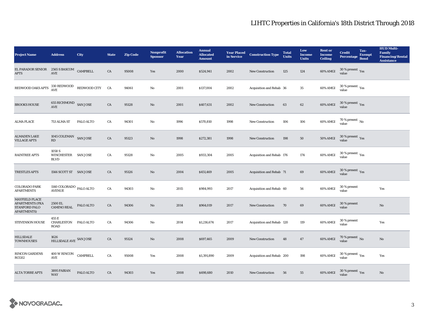| <b>Project Name</b>                                                                    | <b>Address</b>                                     | City                                             | <b>State</b> | <b>Zip Code</b> | <b>Nonprofit</b><br><b>Sponsor</b> | <b>Allocation</b><br>Year | <b>Annual</b><br><b>Allocated</b><br><b>Amount</b> | <b>Year Placed</b><br>in Service | <b>Construction Type</b>  | <b>Total</b><br><b>Units</b> | Low<br><b>Income</b><br><b>Units</b> | <b>Rent or</b><br><b>Income</b><br><b>Ceiling</b> | <b>Credit</b><br><b>Percentage</b>                   | Tax-<br><b>Exempt</b><br><b>Bond</b> | <b>HUD Multi-</b><br><b>Family</b><br><b>Financing/Rental</b><br><b>Assistance</b> |
|----------------------------------------------------------------------------------------|----------------------------------------------------|--------------------------------------------------|--------------|-----------------|------------------------------------|---------------------------|----------------------------------------------------|----------------------------------|---------------------------|------------------------------|--------------------------------------|---------------------------------------------------|------------------------------------------------------|--------------------------------------|------------------------------------------------------------------------------------|
| EL PARADOR SENIOR 2565 S BASCOM CAMPBELL<br><b>APTS</b>                                | AVE                                                |                                                  | CA           | 95008           | Yes                                | 2000                      | \$524,941                                          | 2002                             | New Construction          | 125                          | 124                                  | 60% AMGI                                          | 30 % present Yes<br>value                            |                                      |                                                                                    |
| REDWOOD OAKS APTS                                                                      |                                                    | $330\,\mathrm{REDWOOD}$ REDWOOD CITY $\;$ CA AVE |              | 94061           | No                                 | 2001                      | \$137,004                                          | 2002                             | Acquisition and Rehab 36  |                              | 35                                   | $60\%$ AMGI                                       | $30\,\%$ present $\,$ Yes value                      |                                      |                                                                                    |
| <b>BROOKS HOUSE</b>                                                                    | $655$ RICHMOND $\,$ SAN JOSE AVE                   |                                                  | CA           | 95128           | $\mathbf{N}\mathbf{o}$             | 2001                      | \$407,631                                          | 2002                             | <b>New Construction</b>   | 63                           | 62                                   | 60% AMGI                                          | $30\,\%$ present $\,$ Yes value                      |                                      |                                                                                    |
| <b>ALMA PLACE</b>                                                                      | 753 ALMA ST                                        | PALO ALTO                                        | CA           | 94301           | No                                 | 1996                      | \$570,810                                          | 1998                             | <b>New Construction</b>   | 106                          | 106                                  | 60% AMGI                                          | 70 % present $\,$ No $\,$<br>value                   |                                      |                                                                                    |
| <b>ALMADEN LAKE</b><br><b>VILLAGE APTS</b>                                             | 1045 COLEMAN SAN JOSE<br>RD                        |                                                  | ${\rm CA}$   | 95123           | $\mathbf{N}\mathbf{o}$             | 1998                      | \$272,381                                          | 1998                             | <b>New Construction</b>   | 198                          | ${\bf 50}$                           | $50\%$ AMGI                                       | $30\,\%$ present $\,$ Yes value                      |                                      |                                                                                    |
| <b>RAINTREE APTS</b>                                                                   | 1058 S<br><b>WINCHESTER</b><br><b>BLVD</b>         | <b>SAN JOSE</b>                                  | CA           | 95128           | No                                 | 2005                      | \$933,304                                          | 2005                             | Acquisition and Rehab 176 |                              | 174                                  | 60% AMGI                                          | $30\,\%$ present $\,$ $\rm{Yes}$<br>value            |                                      |                                                                                    |
| <b>TRESTLES APTS</b>                                                                   | 1566 SCOTT ST SAN JOSE                             |                                                  | CA           | 95126           | $\mathbf{N}\mathbf{o}$             | 2004                      | \$451,469                                          | 2005                             | Acquisition and Rehab 71  |                              | 69                                   | 60% AMGI                                          | $30\,\%$ present $\,$ Yes value                      |                                      |                                                                                    |
| <b>COLORADO PARK</b><br><b>APARTMENTS</b>                                              | 1140 COLORADO $_{\rm PALO\,ALTO}$<br><b>AVENUE</b> |                                                  | ${\rm CA}$   | 94303           | $\mathbf{N}\mathbf{o}$             | 2015                      | \$984,993                                          | 2017                             | Acquisition and Rehab 60  |                              | 56                                   | 60% AMGI                                          | 30 % present<br>value                                |                                      | Yes                                                                                |
| <b>MAYFIELD PLACE</b><br><b>APARTMENTS (FKA</b><br>STANFORD PALO<br><b>APARTMENTS)</b> | 2500 EL<br><b>CAMINO REAL</b>                      | PALO ALTO                                        | CA           | 94306           | $\rm No$                           | 2014                      | \$964,019                                          | 2017                             | <b>New Construction</b>   | 70                           | 69                                   | 60% AMGI                                          | 30 % present<br>value                                |                                      | $\rm No$                                                                           |
| STEVENSON HOUSE                                                                        | 455 E<br>CHARLESTON PALO ALTO<br>ROAD              |                                                  | CA           | 94306           | No                                 | 2014                      | \$1,216,674                                        | 2017                             | Acquisition and Rehab 120 |                              | 119                                  | 60% AMGI                                          | 30 % present<br>value                                |                                      | Yes                                                                                |
| <b>HILLSDALE</b><br><b>TOWNHOUSES</b>                                                  | 1626<br>HILLSDALE AVE SAN JOSE                     |                                                  | CA           | 95124           | No                                 | 2008                      | \$697,465                                          | 2009                             | <b>New Construction</b>   | 48                           | 47                                   | 60% AMGI                                          | $70\,\%$ present $\,$ No value                       |                                      | $\rm No$                                                                           |
| <b>RINCON GARDENS</b><br>RCG02                                                         | $400\,\mathrm{W}$ RINCON<br>$\operatorname{AVE}$   | <b>CAMPBELL</b>                                  | CA           | 95008           | Yes                                | 2008                      | \$1,391,890                                        | 2009                             | Acquisition and Rehab 200 |                              | 198                                  | 60% AMGI                                          | 30 % present $\rm\thinspace\gamma_{\rm es}$<br>value |                                      | Yes                                                                                |
| <b>ALTA TORRE APTS</b>                                                                 | 3895 FABIAN<br><b>WAY</b>                          | PALO ALTO                                        | CA           | 94303           | Yes                                | 2008                      | \$498,680                                          | 2010                             | <b>New Construction</b>   | 56                           | 55                                   | 60% AMGI                                          | $30\,\%$ present $\,$ Yes value                      |                                      | No                                                                                 |

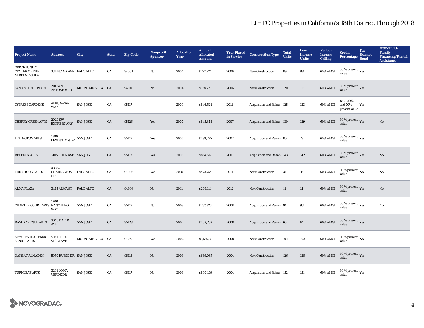| <b>Project Name</b>                                        | <b>Address</b>                                | City             | <b>State</b> | <b>Zip Code</b> | <b>Nonprofit</b><br><b>Sponsor</b> | <b>Allocation</b><br>Year | <b>Annual</b><br><b>Allocated</b><br><b>Amount</b> | <b>Year Placed<br/>in Service</b> | <b>Construction Type</b>  | <b>Total</b><br><b>Units</b> | Low<br><b>Income</b><br><b>Units</b> | <b>Rent or</b><br><b>Income</b><br><b>Ceiling</b> | <b>Credit</b><br><b>Percentage</b>          | Tax-<br><b>Exempt</b><br><b>Bond</b> | <b>HUD Multi-</b><br><b>Family</b><br><b>Financing/Rental</b><br><b>Assistance</b> |
|------------------------------------------------------------|-----------------------------------------------|------------------|--------------|-----------------|------------------------------------|---------------------------|----------------------------------------------------|-----------------------------------|---------------------------|------------------------------|--------------------------------------|---------------------------------------------------|---------------------------------------------|--------------------------------------|------------------------------------------------------------------------------------|
| <b>OPPORTUNITY</b><br><b>CENTER OF THE</b><br>MIDPENINSULA | 33 ENCINA AVE PALO ALTO                       |                  | CA           | 94301           | No                                 | 2004                      | \$722,774                                          | 2006                              | <b>New Construction</b>   | 89                           | 88                                   | 60% AMGI                                          | $30$ % present $\,$ $\rm Yes$<br>value      |                                      |                                                                                    |
| SAN ANTONIO PLACE                                          | 210 SAN<br><b>ANTONIO CIR</b>                 | MOUNTAIN VIEW CA |              | 94040           | $\mathbf{N}\mathbf{o}$             | 2004                      | \$758,773                                          | 2006                              | <b>New Construction</b>   | 120                          | 118                                  | 60% AMGI                                          | $30\ \%$ present $\ _{\mbox{Yes}}$ value    |                                      |                                                                                    |
| <b>CYPRESS GARDENS</b>                                     | 3555 JUDRO<br><b>WAY</b>                      | <b>SAN JOSE</b>  | ${\rm CA}$   | 95117           |                                    | 2009                      | \$846,524                                          | 2011                              | Acquisition and Rehab 125 |                              | 123                                  | 60% AMGI                                          | <b>Both 30%</b><br>and 70%<br>present value | Yes                                  |                                                                                    |
| <b>CHERRY CREEK APTS</b>                                   | 2020 SW<br><b>EXPRESS WAY</b>                 | <b>SAN JOSE</b>  | CA           | 95126           | Yes                                | 2007                      | \$845,348                                          | 2007                              | Acquisition and Rehab 130 |                              | 129                                  | 60% AMGI                                          | $30\,\%$ present $\,$ Yes value             |                                      | $\rm No$                                                                           |
| <b>LEXINGTON APTS</b>                                      | 1380<br>$\textsc{LEXINGTON}$ DR $\,$ SAN JOSE |                  | CA           | 95117           | Yes                                | 2006                      | \$499,795                                          | 2007                              | Acquisition and Rehab 80  |                              | 79                                   | 60% AMGI                                          | $30\,\%$ present $\,$ $\rm Yes$<br>value    |                                      |                                                                                    |
| <b>REGENCY APTS</b>                                        | 1405 EDEN AVE SAN JOSE                        |                  | CA           | 95117           | Yes                                | 2006                      | \$854,512                                          | 2007                              | Acquisition and Rehab 143 |                              | 142                                  | 60% AMGI                                          | $30\,\%$ present $\,\mathrm{Yes}$ value     |                                      | $\rm No$                                                                           |
| TREE HOUSE APTS                                            | 488W<br>CHARLESTON PALO ALTO<br>RD            |                  | CA           | 94306           | Yes                                | 2010                      | \$472,754                                          | 2011                              | New Construction          | 34                           | 34                                   | 60% AMGI                                          | $70$ % present $\,$ No value                |                                      | No                                                                                 |
| <b>ALMA PLAZA</b>                                          | 3445 ALMA ST PALO ALTO                        |                  | CA           | 94306           | No                                 | 2011                      | \$209,114                                          | 2012                              | New Construction          | 14                           | 14                                   | 60% AMGI                                          | $30\,\%$ present $\,\mathrm{Yes}$ value     |                                      | No                                                                                 |
| CHARTER COURT APTS RANCHERO                                | 1200<br>WAY                                   | <b>SAN JOSE</b>  | CA           | 95117           | No                                 | 2008                      | \$737,323                                          | 2008                              | Acquisition and Rehab 94  |                              | 93                                   | 60% AMGI                                          | $30\,\%$ present $\,\mathrm{Yes}$ value     |                                      | $\rm No$                                                                           |
| <b>DAVID AVENUE APTS</b>                                   | 3040 DAVID<br>AVE                             | <b>SAN JOSE</b>  | ${\rm CA}$   | 95128           |                                    | 2007                      | \$402,232                                          | 2008                              | Acquisition and Rehab 66  |                              | 64                                   | 60% AMGI                                          | $30\,\%$ present $\,\mathrm{Yes}$ value     |                                      |                                                                                    |
| NEW CENTRAL PARK<br><b>SENIOR APTS</b>                     | <b>50 SIERRA</b><br><b>VISTA AVE</b>          | MOUNTAIN VIEW CA |              | 94043           | Yes                                | 2006                      | \$1,556,321                                        | 2008                              | <b>New Construction</b>   | 104                          | 103                                  | 60% AMGI                                          | $70\,\%$ present $_{\rm{No}}$               |                                      |                                                                                    |
| <b>OAKS AT ALMADEN</b>                                     | 5050 RUSSO DR SAN JOSE                        |                  | CA           | 95118           | No                                 | 2003                      | \$669,085                                          | 2004                              | <b>New Construction</b>   | 126                          | 125                                  | $60\%$ AMGI                                       | $30\,\%$ present $\,\mathrm{Yes}$ value     |                                      |                                                                                    |
| <b>TURNLEAF APTS</b>                                       | 3201 LOMA<br><b>VERDE DR</b>                  | <b>SAN JOSE</b>  | CA           | 95117           | $\mathbf{No}$                      | 2003                      | \$890,199                                          | 2004                              | Acquisition and Rehab 152 |                              | 151                                  | 60% AMGI                                          | $30\,\%$ present $\,$ $\rm Yes$<br>value    |                                      |                                                                                    |

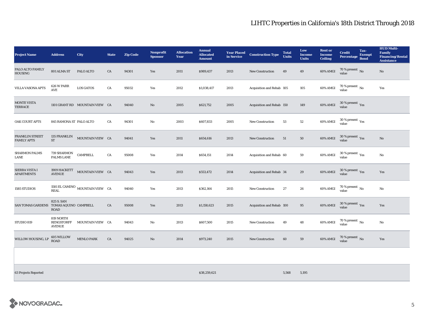| <b>Project Name</b>                   | <b>Address</b>                                     | City                                      | <b>State</b> | <b>Zip Code</b> | <b>Nonprofit</b><br><b>Sponsor</b> | <b>Allocation</b><br>Year | <b>Annual</b><br><b>Allocated</b><br><b>Amount</b> | <b>Year Placed<br/>in Service</b> | <b>Construction Type</b>  | <b>Total</b><br><b>Units</b> | Low<br>Income<br><b>Units</b> | <b>Rent or</b><br><b>Income</b><br><b>Ceiling</b> | <b>Credit</b><br><b>Percentage</b>        | Tax-<br><b>Exempt</b><br><b>Bond</b> | <b>HUD Multi-</b><br>Family<br><b>Financing/Rental</b><br><b>Assistance</b> |
|---------------------------------------|----------------------------------------------------|-------------------------------------------|--------------|-----------------|------------------------------------|---------------------------|----------------------------------------------------|-----------------------------------|---------------------------|------------------------------|-------------------------------|---------------------------------------------------|-------------------------------------------|--------------------------------------|-----------------------------------------------------------------------------|
| PALO ALTO FAMILY<br><b>HOUSING</b>    | 801 ALMA ST                                        | PALO ALTO                                 | CA           | 94301           | Yes                                | 2011                      | \$989,437                                          | 2013                              | <b>New Construction</b>   | 49                           | 49                            | 60% AMGI                                          | $70\,\%$ present $${\rm No}$$ value       |                                      | No                                                                          |
| <b>VILLA VASONA APTS</b>              | 626 W PARR<br>AVE                                  | <b>LOS GATOS</b>                          | CA           | 95032           | Yes                                | 2012                      | \$1,038,417                                        | 2013                              | Acquisition and Rehab 105 |                              | 105                           | 60% AMGI                                          | $70$ % present $\,$ No value              |                                      | Yes                                                                         |
| <b>MONTE VISTA</b><br>TERRACE         |                                                    | 1101 GRANT RD MOUNTAIN VIEW CA            |              | 94040           | No                                 | 2005                      | \$621,752                                          | 2005                              | Acquisition and Rehab 150 |                              | 149                           | 60% AMGI                                          | $30\,\%$ present $\,$ Yes value           |                                      |                                                                             |
| <b>OAK COURT APTS</b>                 | 845 RAMONA ST PALO ALTO                            |                                           | CA           | 94301           | No                                 | 2003                      | \$607,833                                          | 2005                              | <b>New Construction</b>   | 53                           | $52\,$                        | 60% AMGI                                          | $30\,\%$ present $\,\mathrm{Yes}$ value   |                                      |                                                                             |
| FRANKLIN STREET<br><b>FAMILY APTS</b> | <b>ST</b>                                          | 135 FRANKLIN MOUNTAIN VIEW CA             |              | 94041           | Yes                                | 2011                      | \$654,616                                          | 2013                              | New Construction          | 51                           | $50\,$                        |                                                   | 60% AMGI $\frac{30\%}{value}$ Present Yes |                                      | No                                                                          |
| <b>SHARMON PALMS</b><br>LANE          | 739 SHARMON<br>PALMS LANE                          | <b>CAMPBELL</b>                           | CA           | 95008           | Yes                                | 2014                      | \$654,151                                          | 2014                              | Acquisition and Rehab 60  |                              | 59                            | 60% AMGI                                          | $30\,\%$ present $\,\mathrm{Yes}$ value   |                                      | $\mathbf{N}\mathbf{o}$                                                      |
| SIERRA VISTA I<br><b>APARTMENTS</b>   | 1909 HACKETT<br><b>AVENUE</b>                      | MOUNTAIN VIEW CA                          |              | 94043           | Yes                                | 2013                      | \$553,472                                          | 2014                              | Acquisition and Rehab 34  |                              | 29                            | 60% AMGI                                          | $30\,\%$ present $\,$ Yes value           |                                      | Yes                                                                         |
| 1585 STUDIOS                          | <b>REAL</b>                                        | 1581 EL CAMINO $\,$ MOUNTAIN VIEW $\,$ CA |              | 94040           | Yes                                | 2013                      | \$362,164                                          | 2015                              | <b>New Construction</b>   | 27                           | 26                            | 60% AMGI                                          | $70$ % present $\,$ No $\,$<br>value      |                                      | No                                                                          |
| <b>SAN TOMAS GARDENS</b>              | 825 S. SAN<br>TOMAS AQUINO CAMPBELL<br><b>ROAD</b> |                                           | CA           | 95008           | Yes                                | 2013                      | \$1,158,623                                        | 2015                              | Acquisition and Rehab 100 |                              | 95                            | 60% AMGI                                          | $30\,\%$ present $\,\mathrm{Yes}$ value   |                                      | Yes                                                                         |
| STUDIO 819                            | 819 NORTH<br>RENGSTORFF<br><b>AVENUE</b>           | MOUNTAIN VIEW CA                          |              | 94043           | No                                 | 2013                      | \$607,500                                          | 2015                              | <b>New Construction</b>   | 49                           | 48                            | 60% AMGI                                          | $70\,\%$ present $\,$ No value            |                                      | $\mathbf{No}$                                                               |
| WILLOW HOUSING, LP                    | 605 WILLOW<br><b>ROAD</b>                          | <b>MENLO PARK</b>                         | CA           | 94025           | No                                 | 2014                      | \$973,240                                          | 2015                              | <b>New Construction</b>   | 60                           | 59                            | 60% AMGI                                          | $70\,\%$ present $\,$ No value            |                                      | Yes                                                                         |
|                                       |                                                    |                                           |              |                 |                                    |                           |                                                    |                                   |                           |                              |                               |                                                   |                                           |                                      |                                                                             |

63 Projects Reported \$38,259,621 5,568 5,195